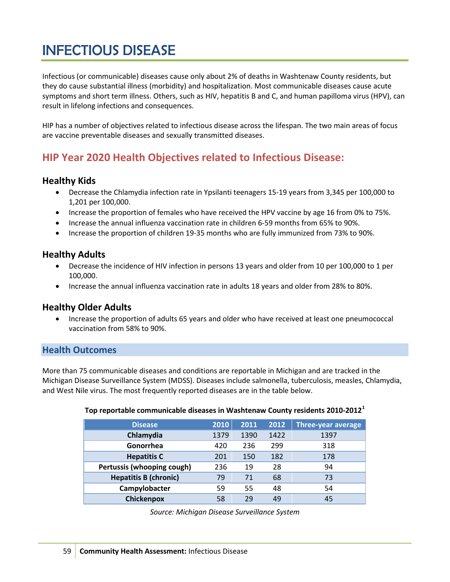# INFECTIOUS DISEASE

Infectious (or communicable) diseases cause only about 2% of deaths in Washtenaw County residents, but they do cause substantial illness (morbidity) and hospitalization. Most communicable diseases cause acute symptoms and short term illness. Others, such as HIV, hepatitis B and C, and human papilloma virus (HPV), can result in lifelong infections and consequences.

HIP has a number of objectives related to infectious disease across the lifespan. The two main areas of focus are vaccine preventable diseases and sexually transmitted diseases.

# **HIP Year 2020 Health Objectives related to Infectious Disease:**

# **Healthy Kids**

- Decrease the Chlamydia infection rate in Ypsilanti teenagers 15-19 years from 3,345 per 100,000 to 1,201 per 100,000.
- Increase the proportion of females who have received the HPV vaccine by age 16 from 0% to 75%.
- Increase the annual influenza vaccination rate in children 6-59 months from 65% to 90%.
- Increase the proportion of children 19-35 months who are fully immunized from 73% to 90%.

# **Healthy Adults**

- Decrease the incidence of HIV infection in persons 13 years and older from 10 per 100,000 to 1 per 100,000.
- Increase the annual influenza vaccination rate in adults 18 years and older from 28% to 80%.

# **Healthy Older Adults**

• Increase the proportion of adults 65 years and older who have received at least one pneumococcal vaccination from 58% to 90%.

# **Health Outcomes**

More than 75 communicable diseases and conditions are reportable in Michigan and are tracked in the Michigan Disease Surveillance System (MDSS). Diseases include salmonella, tuberculosis, measles, Chlamydia, and West Nile virus. The most frequently reported diseases are in the table below.

#### **Top reportable communicable diseases in Washtenaw County residents 2010-2012[1](#page-5-0)**

| <b>Disease</b>               | 2010 | 2011 | 2012 | Three-year average |
|------------------------------|------|------|------|--------------------|
| Chlamydia                    | 1379 | 1390 | 1422 | 1397               |
| Gonorrhea                    | 420  | 236  | 299  | 318                |
| <b>Hepatitis C</b>           | 201  | 150  | 182  | 178                |
| Pertussis (whooping cough)   | 236  | 19   | 28   | 94                 |
| <b>Hepatitis B (chronic)</b> | 79   | 71   | 68   | 73                 |
| Campylobacter                | 59   | 55   | 48   | 54                 |
| Chickenpox                   | 58   | 29   | 49   | 45                 |

*Source: Michigan Disease Surveillance System*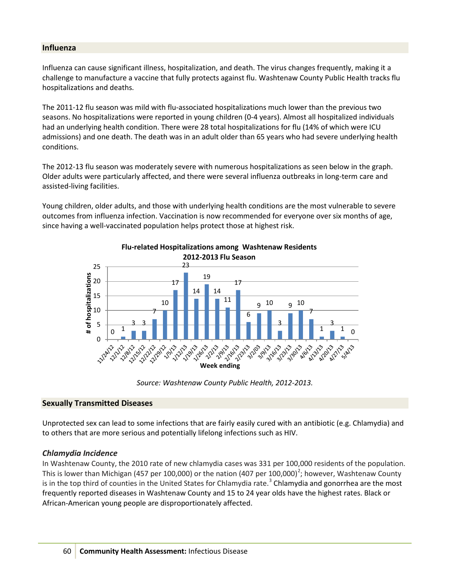#### **Influenza**

Influenza can cause significant illness, hospitalization, and death. The virus changes frequently, making it a challenge to manufacture a vaccine that fully protects against flu. Washtenaw County Public Health tracks flu hospitalizations and deaths.

The 2011-12 flu season was mild with flu-associated hospitalizations much lower than the previous two seasons. No hospitalizations were reported in young children (0-4 years). Almost all hospitalized individuals had an underlying health condition. There were 28 total hospitalizations for flu (14% of which were ICU admissions) and one death. The death was in an adult older than 65 years who had severe underlying health conditions.

The 2012-13 flu season was moderately severe with numerous hospitalizations as seen below in the graph. Older adults were particularly affected, and there were several influenza outbreaks in long-term care and assisted-living facilities.

Young children, older adults, and those with underlying health conditions are the most vulnerable to severe outcomes from influenza infection. Vaccination is now recommended for everyone over six months of age, since having a well-vaccinated population helps protect those at highest risk.



**Flu-related Hospitalizations among Washtenaw Residents** 

*Source: Washtenaw County Public Health, 2012-2013.*

### **Sexually Transmitted Diseases**

Unprotected sex can lead to some infections that are fairly easily cured with an antibiotic (e.g. Chlamydia) and to others that are more serious and potentially lifelong infections such as HIV.

### *Chlamydia Incidence*

In Washtenaw County, the 2010 rate of new chlamydia cases was 331 per 100,000 residents of the population. This is lower than Michigan (457 per 100,000) or the nation (407 per 100,000)<sup>[2](#page-5-1)</sup>; however, Washtenaw County is in the top third of counties in the United States for Chlamydia rate.<sup>[3](#page-5-2)</sup> Chlamydia and gonorrhea are the most frequently reported diseases in Washtenaw County and 15 to 24 year olds have the highest rates. Black or African-American young people are disproportionately affected.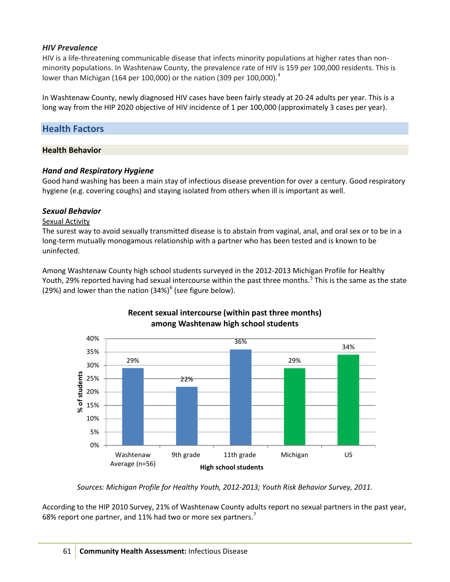# *HIV Prevalence*

HIV is a life-threatening communicable disease that infects minority populations at higher rates than nonminority populations. In Washtenaw County, the prevalence rate of HIV is 159 per 100,000 residents. This is lower than Michigan (16[4](#page-6-0) per 100,000) or the nation (309 per 100,000).<sup>4</sup>

In Washtenaw County, newly diagnosed HIV cases have been fairly steady at 20-24 adults per year. This is a long way from the HIP 2020 objective of HIV incidence of 1 per 100,000 (approximately 3 cases per year).

# **Health Factors**

### **Health Behavior**

# *Hand and Respiratory Hygiene*

Good hand washing has been a main stay of infectious disease prevention for over a century. Good respiratory hygiene (e.g. covering coughs) and staying isolated from others when ill is important as well.

# *Sexual Behavior*

### Sexual Activity

The surest way to avoid sexually transmitted disease is to abstain from vaginal, anal, and oral sex or to be in a long-term mutually monogamous relationship with a partner who has been tested and is known to be uninfected.

Among Washtenaw County high school students surveyed in the 2012-2013 Michigan Profile for Healthy Youth, 29% reported having had sexual intercourse within the past three months.<sup>[5](#page-6-1)</sup> This is the same as the state (29%) and lower than the nation  $(34%)^6$  $(34%)^6$  (see figure below).



# **Recent sexual intercourse (within past three months) among Washtenaw high school students**

*Sources: Michigan Profile for Healthy Youth, 2012-2013; Youth Risk Behavior Survey, 2011.*

According to the HIP 2010 Survey, 21% of Washtenaw County adults report no sexual partners in the past year, 68% report one partner, and 11% had two or more sex partners.<sup>[7](#page-6-3)</sup>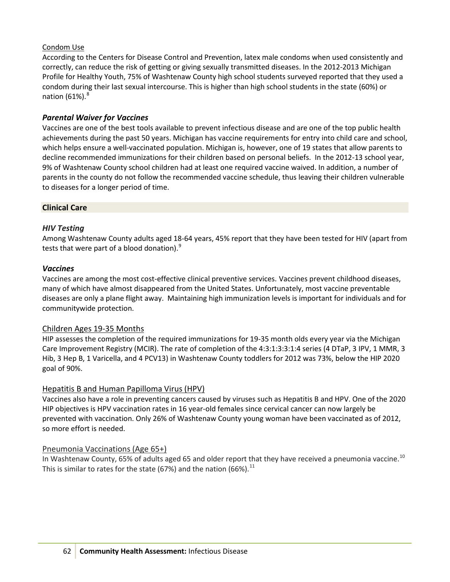# Condom Use

According to the Centers for Disease Control and Prevention, latex male condoms when used consistently and correctly, can reduce the risk of getting or giving sexually transmitted diseases. In the 2012-2013 Michigan Profile for Healthy Youth, 75% of Washtenaw County high school students surveyed reported that they used a condom during their last sexual intercourse. This is higher than high school students in the state (60%) or nation  $(61\%)$ .<sup>[8](#page-6-4)</sup>

# *Parental Waiver for Vaccines*

Vaccines are one of the best tools available to prevent infectious disease and are one of the top public health achievements during the past 50 years. Michigan has vaccine requirements for entry into child care and school, which helps ensure a well-vaccinated population. Michigan is, however, one of 19 states that allow parents to decline recommended immunizations for their children based on personal beliefs. In the 2012-13 school year, 9% of Washtenaw County school children had at least one required vaccine waived. In addition, a number of parents in the county do not follow the recommended vaccine schedule, thus leaving their children vulnerable to diseases for a longer period of time.

# **Clinical Care**

# *HIV Testing*

Among Washtenaw County adults aged 18-64 years, 45% report that they have been tested for HIV (apart from tests that were part of a blood donation).<sup>[9](#page-6-5)</sup>

### *Vaccines*

Vaccines are among the most cost-effective clinical preventive services. Vaccines prevent childhood diseases, many of which have almost disappeared from the United States. Unfortunately, most vaccine preventable diseases are only a plane flight away. Maintaining high immunization levels is important for individuals and for communitywide protection.

### Children Ages 19-35 Months

HIP assesses the completion of the required immunizations for 19-35 month olds every year via the Michigan Care Improvement Registry (MCIR). The rate of completion of the 4:3:1:3:3:1:4 series (4 DTaP, 3 IPV, 1 MMR, 3 Hib, 3 Hep B, 1 Varicella, and 4 PCV13) in Washtenaw County toddlers for 2012 was 73%, below the HIP 2020 goal of 90%.

### Hepatitis B and Human Papilloma Virus (HPV)

Vaccines also have a role in preventing cancers caused by viruses such as Hepatitis B and HPV. One of the 2020 HIP objectives is HPV vaccination rates in 16 year-old females since cervical cancer can now largely be prevented with vaccination. Only 26% of Washtenaw County young woman have been vaccinated as of 2012, so more effort is needed.

### Pneumonia Vaccinations (Age 65+)

In Washtenaw County, 65% of adults aged 65 and older report that they have received a pneumonia vaccine.<sup>[10](#page-6-6)</sup> This is similar to rates for the state (67%) and the nation (66%).<sup>[11](#page-6-7)</sup>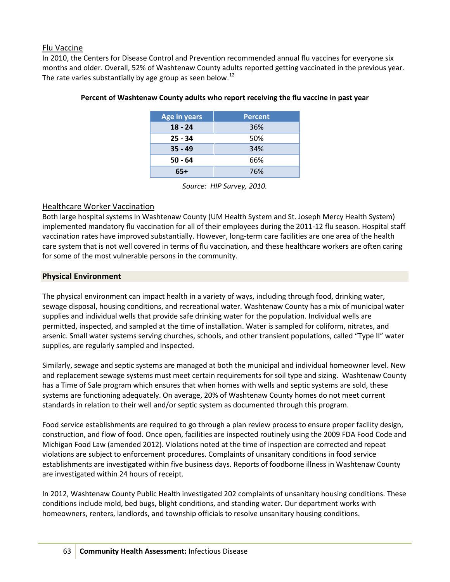# Flu Vaccine

In 2010, the Centers for Disease Control and Prevention recommended annual flu vaccines for everyone six months and older. Overall, 52% of Washtenaw County adults reported getting vaccinated in the previous year. The rate varies substantially by age group as seen below.<sup>[12](#page-6-8)</sup>

| <b>Age in years</b> | <b>Percent</b> |  |  |
|---------------------|----------------|--|--|
| $18 - 24$           | 36%            |  |  |
| $25 - 34$           | 50%            |  |  |
| $35 - 49$           | 34%            |  |  |
| $50 - 64$           | 66%            |  |  |
| 65+                 | 76%            |  |  |

## **Percent of Washtenaw County adults who report receiving the flu vaccine in past year**

*Source: HIP Survey, 2010.*

# Healthcare Worker Vaccination

Both large hospital systems in Washtenaw County (UM Health System and St. Joseph Mercy Health System) implemented mandatory flu vaccination for all of their employees during the 2011-12 flu season. Hospital staff vaccination rates have improved substantially. However, long-term care facilities are one area of the health care system that is not well covered in terms of flu vaccination, and these healthcare workers are often caring for some of the most vulnerable persons in the community.

# **Physical Environment**

The physical environment can impact health in a variety of ways, including through food, drinking water, sewage disposal, housing conditions, and recreational water. Washtenaw County has a mix of municipal water supplies and individual wells that provide safe drinking water for the population. Individual wells are permitted, inspected, and sampled at the time of installation. Water is sampled for coliform, nitrates, and arsenic. Small water systems serving churches, schools, and other transient populations, called "Type II" water supplies, are regularly sampled and inspected.

Similarly, sewage and septic systems are managed at both the municipal and individual homeowner level. New and replacement sewage systems must meet certain requirements for soil type and sizing. Washtenaw County has a Time of Sale program which ensures that when homes with wells and septic systems are sold, these systems are functioning adequately. On average, 20% of Washtenaw County homes do not meet current standards in relation to their well and/or septic system as documented through this program.

Food service establishments are required to go through a plan review process to ensure proper facility design, construction, and flow of food. Once open, facilities are inspected routinely using the 2009 FDA Food Code and Michigan Food Law (amended 2012). Violations noted at the time of inspection are corrected and repeat violations are subject to enforcement procedures. Complaints of unsanitary conditions in food service establishments are investigated within five business days. Reports of foodborne illness in Washtenaw County are investigated within 24 hours of receipt.

In 2012, Washtenaw County Public Health investigated 202 complaints of unsanitary housing conditions. These conditions include mold, bed bugs, blight conditions, and standing water. Our department works with homeowners, renters, landlords, and township officials to resolve unsanitary housing conditions.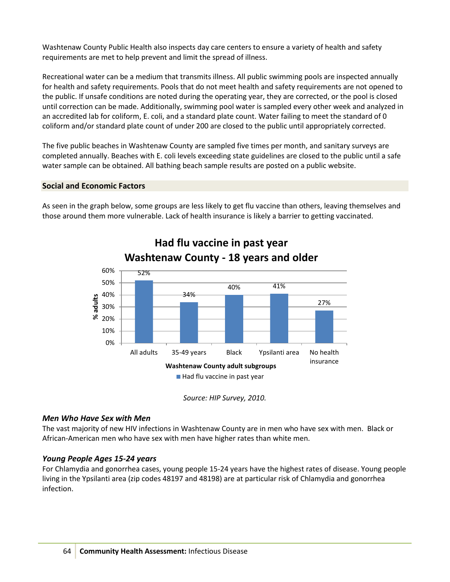<span id="page-5-0"></span>Washtenaw County Public Health also inspects day care centers to ensure a variety of health and safety requirements are met to help prevent and limit the spread of illness.

<span id="page-5-2"></span><span id="page-5-1"></span>Recreational water can be a medium that transmits illness. All public swimming pools are inspected annually for health and safety requirements. Pools that do not meet health and safety requirements are not opened to the public. If unsafe conditions are noted during the operating year, they are corrected, or the pool is closed until correction can be made. Additionally, swimming pool water is sampled every other week and analyzed in an accredited lab for coliform, E. coli, and a standard plate count. Water failing to meet the standard of 0 coliform and/or standard plate count of under 200 are closed to the public until appropriately corrected.

The five public beaches in Washtenaw County are sampled five times per month, and sanitary surveys are completed annually. Beaches with E. coli levels exceeding state guidelines are closed to the public until a safe water sample can be obtained. All bathing beach sample results are posted on a public website.

# **Social and Economic Factors**

As seen in the graph below, some groups are less likely to get flu vaccine than others, leaving themselves and those around them more vulnerable. Lack of health insurance is likely a barrier to getting vaccinated.



*Source: HIP Survey, 2010.*

### *Men Who Have Sex with Men*

The vast majority of new HIV infections in Washtenaw County are in men who have sex with men. Black or African-American men who have sex with men have higher rates than white men.

# *Young People Ages 15-24 years*

For Chlamydia and gonorrhea cases, young people 15-24 years have the highest rates of disease. Young people living in the Ypsilanti area (zip codes 48197 and 48198) are at particular risk of Chlamydia and gonorrhea infection.